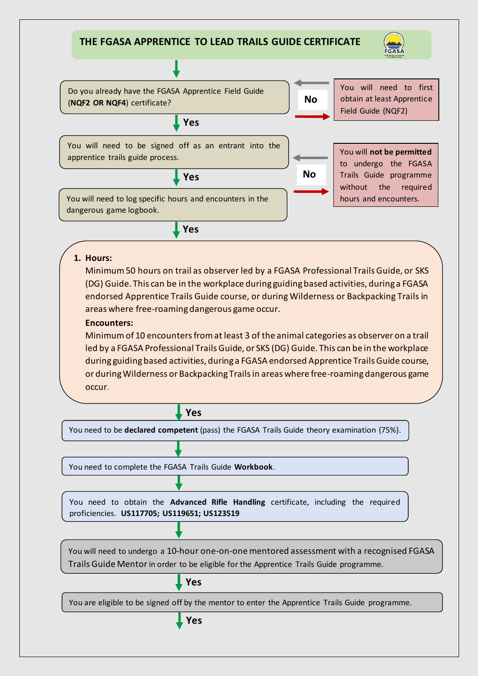# **THE FGASA APPRENTICE TO LEAD TRAILS GUIDE CERTIFICATE**





# **1. Hours:**

Minimum 50 hours on trail as observer led by a FGASA Professional Trails Guide, or SKS (DG) Guide. This can be in the workplace during guiding based activities, during a FGASA endorsed Apprentice Trails Guide course, or during Wilderness or Backpacking Trails in areas where free-roaming dangerous game occur.

# **Encounters:**

Minimum of 10 encounters from at least 3 of the animal categories as observer on a trail led by a FGASA Professional Trails Guide, or SKS (DG) Guide. This can be in the workplace during guiding based activities, during a FGASA endorsed Apprentice Trails Guide course, or during Wilderness or Backpacking Trails in areas where free-roaming dangerous game occur*.* 

**Yes**

You need to be **declared competent** (pass) the FGASA Trails Guide theory examination (75%).

You need to complete the FGASA Trails Guide **Workbook**.

You need to obtain the **Advanced Rifle Handling** certificate, including the required proficiencies. **US117705; US119651; US123519**

You will need to undergo a 10-hour one-on-one mentored assessment with a recognised FGASA Trails Guide Mentorin order to be eligible for the Apprentice Trails Guide programme.

**Yes**

You are eligible to be signed off by the mentor to enter the Apprentice Trails Guide programme.

**Yes**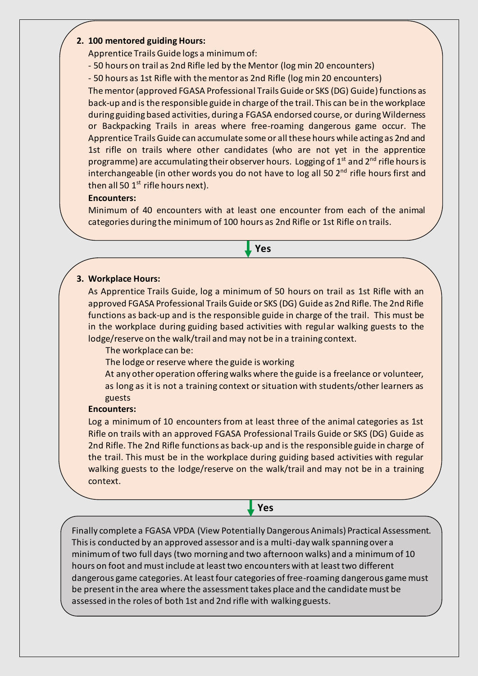# **2. 100 mentored guiding Hours:**

Apprentice Trails Guide logs a minimum of:

- 50 hours on trail as 2nd Rifle led by the Mentor (log min 20 encounters)
- 50 hours as 1st Rifle with the mentor as 2nd Rifle (log min 20 encounters)

The mentor (approved FGASA Professional Trails Guide or SKS (DG) Guide) functions as back-up and is the responsible guide in charge of the trail. This can be in the workplace during guiding based activities, during a FGASA endorsed course, or during Wilderness or Backpacking Trails in areas where free-roaming dangerous game occur. The Apprentice Trails Guide can accumulate some or all these hours while acting as 2nd and 1st rifle on trails where other candidates (who are not yet in the apprentice programme) are accumulating their observer hours. Logging of  $1<sup>st</sup>$  and  $2<sup>nd</sup>$  rifle hours is interchangeable (in other words you do not have to log all 50 2<sup>nd</sup> rifle hours first and then all 50  $1<sup>st</sup>$  rifle hours next).

# **Encounters:**

Minimum of 40 encounters with at least one encounter from each of the animal categories during the minimum of 100 hours as 2nd Rifle or 1st Rifle on trails.

**Yes**

# **3. Workplace Hours:**

As Apprentice Trails Guide, log a minimum of 50 hours on trail as 1st Rifle with an approved FGASA Professional Trails Guide or SKS (DG) Guide as 2nd Rifle. The 2nd Rifle functions as back-up and is the responsible guide in charge of the trail. This must be in the workplace during guiding based activities with regular walking guests to the lodge/reserve on the walk/trail and may not be in a training context.

### The workplace can be:

The lodge or reserve where the guide is working

At any other operation offering walks where the guide is a freelance or volunteer, as long as it is not a training context or situation with students/other learners as guests

### **Encounters:**

Log a minimum of 10 encounters from at least three of the animal categories as 1st Rifle on trails with an approved FGASA Professional Trails Guide or SKS (DG) Guide as 2nd Rifle. The 2nd Rifle functions as back-up and is the responsible guide in charge of the trail. This must be in the workplace during guiding based activities with regular walking guests to the lodge/reserve on the walk/trail and may not be in a training context.

**Yes**

Finally complete a FGASA VPDA (View PotentiallyDangerous Animals) Practical Assessment. This is conducted by an approved assessor and is a multi-day walk spanning over a minimum of two full days (two morning and two afternoon walks) and a minimum of 10 hours on foot and must include at least two encounters with at least two different dangerous game categories. At least four categories of free-roaming dangerous game must be present in the area where the assessment takes place and the candidate must be assessed in the roles of both 1st and 2nd rifle with walking guests.